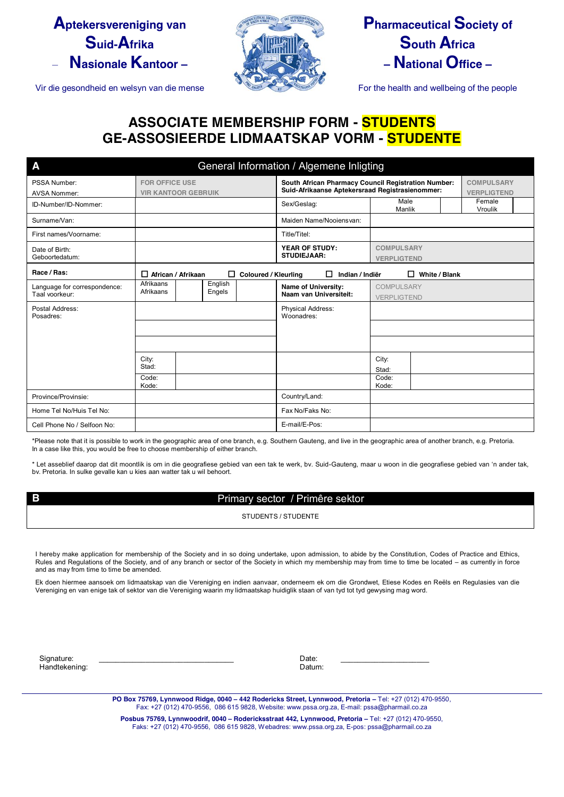## **Aptekersvereniging van Suid-Afrika** – **Nasionale Kantoor –**

Vir die gesondheid en welsyn van die mense For the health and wellbeing of the people



# **Pharmaceutical Society of South Africa – National Office –**

## **ASSOCIATE MEMBERSHIP FORM - STUDENTS GE-ASSOSIEERDE LIDMAATSKAP VORM - STUDENTE**

| A                            | General Information / Algemene Inligting |                       |                                 |                             |                                                            |                |                    |                    |                   |  |  |  |
|------------------------------|------------------------------------------|-----------------------|---------------------------------|-----------------------------|------------------------------------------------------------|----------------|--------------------|--------------------|-------------------|--|--|--|
| PSSA Number:                 | <b>FOR OFFICE USE</b>                    |                       |                                 |                             | <b>South African Pharmacy Council Registration Number:</b> |                | <b>COMPULSARY</b>  |                    |                   |  |  |  |
| AVSA Nommer:                 | <b>VIR KANTOOR GEBRUIK</b>               |                       |                                 |                             | Suid-Afrikaanse Aptekersraad Registrasienommer:            |                |                    | <b>VERPLIGTEND</b> |                   |  |  |  |
| ID-Number/ID-Nommer:         |                                          |                       |                                 |                             | Sex/Geslag:                                                | Male<br>Manlik |                    |                    | Female<br>Vroulik |  |  |  |
| Surname/Van:                 |                                          |                       |                                 |                             | Maiden Name/Nooiensvan:                                    |                |                    |                    |                   |  |  |  |
| First names/Voorname:        |                                          |                       |                                 |                             | Title/Titel:                                               |                |                    |                    |                   |  |  |  |
| Date of Birth:               |                                          | <b>YEAR OF STUDY:</b> |                                 |                             | <b>COMPULSARY</b>                                          |                |                    |                    |                   |  |  |  |
| Geboortedatum:               |                                          |                       |                                 |                             | <b>STUDIEJAAR:</b>                                         |                | <b>VERPLIGTEND</b> |                    |                   |  |  |  |
| Race / Ras:                  | $\Box$ African / Afrikaan                |                       | □                               | <b>Coloured / Kleurling</b> | п<br>Indian / Indiër                                       | □              | White / Blank      |                    |                   |  |  |  |
| Language for correspondence: | Afrikaans<br>Afrikaans                   |                       | English<br>Engels               |                             | Name of University:<br>Naam van Universiteit:              |                | COMPULSARY         |                    |                   |  |  |  |
| Taal voorkeur:               |                                          |                       |                                 |                             |                                                            | VERPLIGTEND    |                    |                    |                   |  |  |  |
| Postal Address:<br>Posadres: |                                          |                       | Physical Address:<br>Woonadres: |                             |                                                            |                |                    |                    |                   |  |  |  |
|                              |                                          |                       |                                 |                             |                                                            |                |                    |                    |                   |  |  |  |
|                              |                                          |                       |                                 |                             |                                                            |                |                    |                    |                   |  |  |  |
|                              | City:<br>Stad:                           |                       |                                 |                             |                                                            | City:          |                    |                    |                   |  |  |  |
|                              | Code:                                    |                       |                                 |                             |                                                            | Stad:<br>Code: |                    |                    |                   |  |  |  |
|                              | Kode:                                    |                       |                                 |                             |                                                            | Kode:          |                    |                    |                   |  |  |  |
| Province/Provinsie:          |                                          |                       |                                 |                             | Country/Land:                                              |                |                    |                    |                   |  |  |  |
| Home Tel No/Huis Tel No:     |                                          |                       |                                 |                             | Fax No/Faks No:                                            |                |                    |                    |                   |  |  |  |
| Cell Phone No / Selfoon No:  |                                          |                       |                                 |                             | E-mail/E-Pos:                                              |                |                    |                    |                   |  |  |  |

\*Please note that it is possible to work in the geographic area of one branch, e.g. Southern Gauteng, and live in the geographic area of another branch, e.g. Pretoria. In a case like this, you would be free to choose membership of either branch.

\* Let asseblief daarop dat dit moontlik is om in die geografiese gebied van een tak te werk, bv. Suid-Gauteng, maar u woon in die geografiese gebied van 'n ander tak, bv. Pretoria. In sulke gevalle kan u kies aan watter tak u wil behoort.

#### **B** Primary sector / Primêre sektor

STUDENTS / STUDENTE

I hereby make application for membership of the Society and in so doing undertake, upon admission, to abide by the Constitution, Codes of Practice and Ethics, Rules and Regulations of the Society, and of any branch or sector of the Society in which my membership may from time to time be located – as currently in force and as may from time to time be amended.

Ek doen hiermee aansoek om lidmaatskap van die Vereniging en indien aanvaar, onderneem ek om die Grondwet, Etiese Kodes en Reëls en Regulasies van die Vereniging en van enige tak of sektor van die Vereniging waarin my lidmaatskap huidiglik staan of van tyd tot tyd gewysing mag word.

 Signature: \_\_\_\_\_\_\_\_\_\_\_\_\_\_\_\_\_\_\_\_\_\_\_\_\_\_\_\_\_\_\_\_ Date: \_\_\_\_\_\_\_\_\_\_\_\_\_\_\_\_\_\_\_\_\_ Handtekening: Datum: Datum: Datum: Datum: Datum: Datum: Datum: Datum: Datum: Datum: Datum: Datum: Datum: Datum: Datum: Datum: Datum: Datum: Datum: Datum: Datum: Datum: Datum: Datum: Datum: Datum: Datum: Datum: Datum: Datum

**PO Box 75769, Lynnwood Ridge, 0040 – 442 Rodericks Street, Lynnwood, Pretoria –** Tel: +27 (012) 470-9550, Fax: +27 (012) 470-9556, 086 615 9828, Website: www.pssa.org.za, E-mail: pssa@pharmail.co.za

**Posbus 75769, Lynnwoodrif, 0040 – Rodericksstraat 442, Lynnwood, Pretoria –** Tel: +27 (012) 470-9550, Faks: +27 (012) 470-9556, 086 615 9828, Webadres: www.pssa.org.za, E-pos: pssa@pharmail.co.za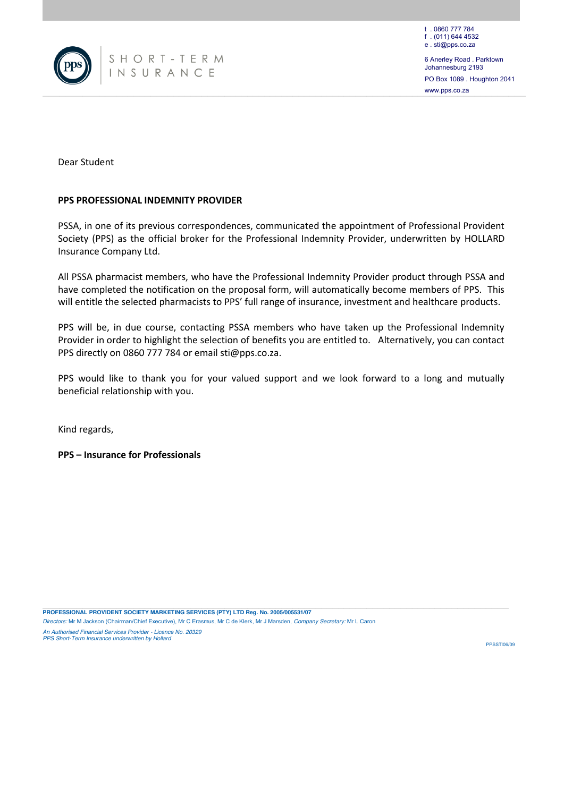

www.pps.co.za Johannesburg 2193 PO Box 1089 . Houghton 2041 www.pps.co.za

Dear Student

#### **PPS PROFESSIONAL INDEMNITY PROVIDER**

PSSA, in one of its previous correspondences, communicated the appointment of Professional Provident Society (PPS) as the official broker for the Professional Indemnity Provider, underwritten by HOLLARD Insurance Company Ltd.

All PSSA pharmacist members, who have the Professional Indemnity Provider product through PSSA and have completed the notification on the proposal form, will automatically become members of PPS. This will entitle the selected pharmacists to PPS' full range of insurance, investment and healthcare products.

PPS will be, in due course, contacting PSSA members who have taken up the Professional Indemnity Provider in order to highlight the selection of benefits you are entitled to. Alternatively, you can contact PPS directly on 0860 777 784 or emai[l sti@pps.co.za.](mailto:sti@pps.co.za)

PPS would like to thank you for your valued support and we look forward to a long and mutually beneficial relationship with you.

Kind regards,

**PPS – Insurance for Professionals**

**PROFESSIONAL PROVIDENT SOCIETY MARKETING SERVICES (PTY) LTD Reg. No. 2005/005531/07** *Directors:* Mr M Jackson (Chairman/Chief Executive), Mr C Erasmus, Mr C de Klerk, Mr J Marsden, *Company Secretary:* Mr L Caron

*An Authorised Financial Services Provider - Licence No. 20329 PPS Short-Term Insurance underwritten by Hollard*

**PPSSTING/NO**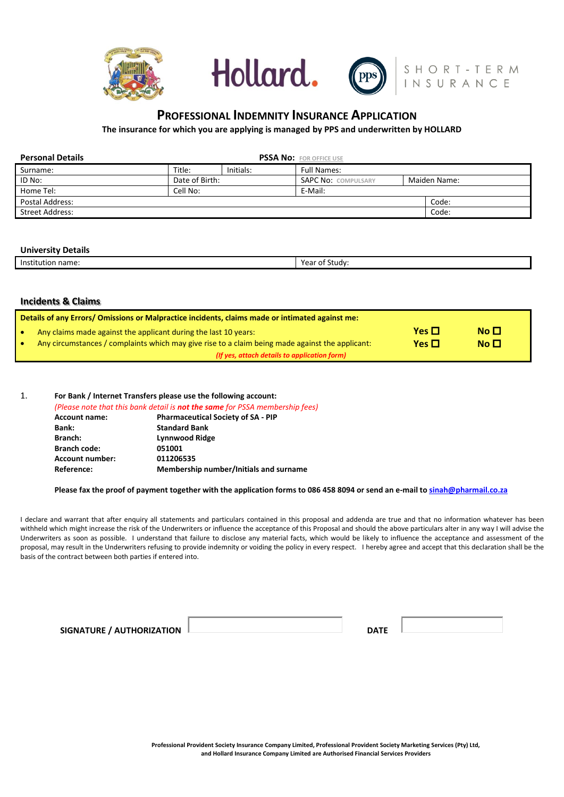





# **PROFESSIONAL INDEMNITY INSURANCE APPLICATION**

**The insurance for which you are applying is managed by PPS and underwritten by HOLLARD**

| <b>Personal Details</b> |                |           |                            |              |  |  |  |
|-------------------------|----------------|-----------|----------------------------|--------------|--|--|--|
| Surname:                | Title:         | Initials: | <b>Full Names:</b>         |              |  |  |  |
| ID No:                  | Date of Birth: |           | <b>SAPC No: COMPULSARY</b> | Maiden Name: |  |  |  |
| Home Tel:               | Cell No:       |           | E-Mail:                    |              |  |  |  |
| Postal Address:         |                |           | Code:                      |              |  |  |  |
| Street Address:         |                |           |                            | Code:        |  |  |  |

#### **University Details**

|       | ``   |
|-------|------|
| Inc   | udv: |
| name. | ear  |
| ч.    | ור   |
|       |      |

#### **Incidents & Claims**

|   | Details of any Errors/ Omissions or Malpractice incidents, claims made or intimated against me:                                                                                                                    |                          |                            |  |  |  |
|---|--------------------------------------------------------------------------------------------------------------------------------------------------------------------------------------------------------------------|--------------------------|----------------------------|--|--|--|
| ۰ | Any claims made against the applicant during the last 10 years:<br>Any circumstances / complaints which may give rise to a claim being made against the applicant:<br>(If yes, attach details to application form) | Yes $\Box$<br>Yes $\Box$ | $N0$ $\Box$<br>$N0$ $\Box$ |  |  |  |
|   |                                                                                                                                                                                                                    |                          |                            |  |  |  |

#### 1. **For Bank / Internet Transfers please use the following account:**

*(Please note that this bank detail is not the same for PSSA membership fees)*

| <b>Pharmaceutical Society of SA - PIP</b> |
|-------------------------------------------|
| <b>Standard Bank</b>                      |
| <b>Lynnwood Ridge</b>                     |
| 051001                                    |
| 011206535                                 |
| Membership number/Initials and surname    |
|                                           |

#### **Please fax the proof of payment together with the application forms to 086 458 8094 or send an e-mail t[o sinah@pharmail.co.za](mailto:sinah@pharmail.co.za)**

I declare and warrant that after enquiry all statements and particulars contained in this proposal and addenda are true and that no information whatever has been withheld which might increase the risk of the Underwriters or influence the acceptance of this Proposal and should the above particulars alter in any way I will advise the Underwriters as soon as possible. I understand that failure to disclose any material facts, which would be likely to influence the acceptance and assessment of the proposal, may result in the Underwriters refusing to provide indemnity or voiding the policy in every respect. I hereby agree and accept that this declaration shall be the basis of the contract between both parties if entered into.

| SIGNATURE / AUTHORIZATION | <b>DATE</b> |  |
|---------------------------|-------------|--|